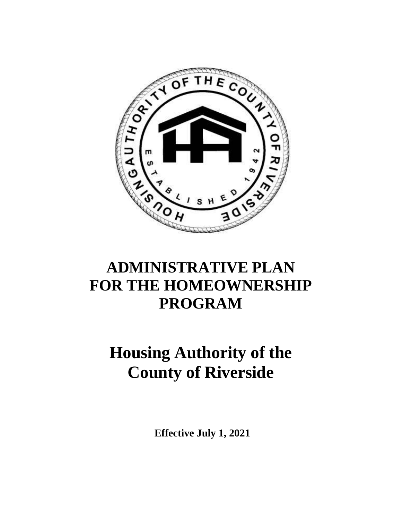

## **ADMINISTRATIVE PLAN FOR THE HOMEOWNERSHIP PROGRAM**

# **Housing Authority of the County of Riverside**

**Effective July 1, 2021**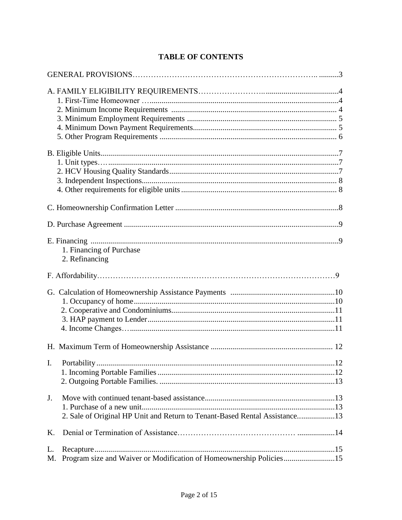| 1. Financing of Purchase<br>2. Refinancing                                       |  |
|----------------------------------------------------------------------------------|--|
|                                                                                  |  |
|                                                                                  |  |
|                                                                                  |  |
|                                                                                  |  |
| J.<br>2. Sale of Original HP Unit and Return to Tenant-Based Rental Assistance13 |  |
| K.                                                                               |  |
| L.<br>Program size and Waiver or Modification of Homeownership Policies15<br>M.  |  |

## **TABLE OF CONTENTS**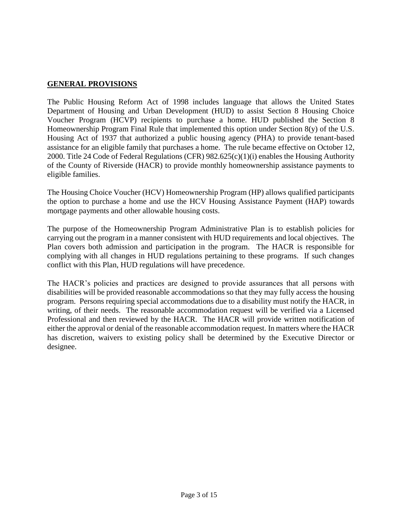### **GENERAL PROVISIONS**

The Public Housing Reform Act of 1998 includes language that allows the United States Department of Housing and Urban Development (HUD) to assist Section 8 Housing Choice Voucher Program (HCVP) recipients to purchase a home. HUD published the Section 8 Homeownership Program Final Rule that implemented this option under Section 8(y) of the U.S. Housing Act of 1937 that authorized a public housing agency (PHA) to provide tenant-based assistance for an eligible family that purchases a home. The rule became effective on October 12, 2000. Title 24 Code of Federal Regulations (CFR) 982.625(c)(1)(i) enables the Housing Authority of the County of Riverside (HACR) to provide monthly homeownership assistance payments to eligible families.

The Housing Choice Voucher (HCV) Homeownership Program (HP) allows qualified participants the option to purchase a home and use the HCV Housing Assistance Payment (HAP) towards mortgage payments and other allowable housing costs.

The purpose of the Homeownership Program Administrative Plan is to establish policies for carrying out the program in a manner consistent with HUD requirements and local objectives. The Plan covers both admission and participation in the program. The HACR is responsible for complying with all changes in HUD regulations pertaining to these programs. If such changes conflict with this Plan, HUD regulations will have precedence.

The HACR's policies and practices are designed to provide assurances that all persons with disabilities will be provided reasonable accommodations so that they may fully access the housing program. Persons requiring special accommodations due to a disability must notify the HACR, in writing, of their needs. The reasonable accommodation request will be verified via a Licensed Professional and then reviewed by the HACR. The HACR will provide written notification of either the approval or denial of the reasonable accommodation request. In matters where the HACR has discretion, waivers to existing policy shall be determined by the Executive Director or designee.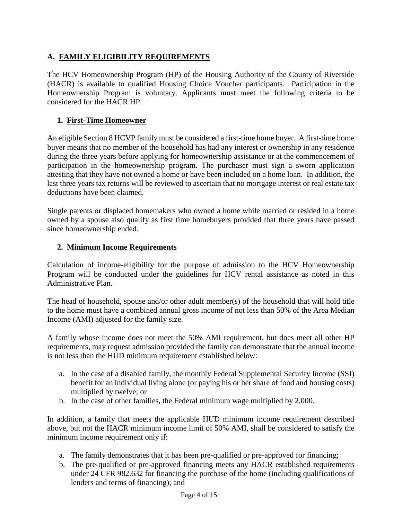## **A. FAMILY ELIGIBILITY REQUIREMENTS**

The HCV Homeownership Program (HP) of the Housing Authority of the County of Riverside (HACR) is available to qualified Housing Choice Voucher participants. Participation in the Homeownership Program is voluntary. Applicants must meet the following criteria to be considered for the HACR HP.

## **1. First-Time Homeowner**

An eligible Section 8 HCVP family must be considered a first-time home buyer. A first-time home buyer means that no member of the household has had any interest or ownership in any residence during the three years before applying for homeownership assistance or at the commencement of participation in the homeownership program. The purchaser must sign a sworn application attesting that they have not owned a home or have been included on a home loan. In addition, the last three years tax returns will be reviewed to ascertain that no mortgage interest or real estate tax deductions have been claimed.

Single parents or displaced homemakers who owned a home while married or resided in a home owned by a spouse also qualify as first time homebuyers provided that three years have passed since homeownership ended.

## **2. Minimum Income Requirements**

Calculation of income-eligibility for the purpose of admission to the HCV Homeownership Program will be conducted under the guidelines for HCV rental assistance as noted in this Administrative Plan.

The head of household, spouse and/or other adult member(s) of the household that will hold title to the home must have a combined annual gross income of not less than 50% of the Area Median Income (AMI) adjusted for the family size.

A family whose income does not meet the 50% AMI requirement, but does meet all other HP requirements, may request admission provided the family can demonstrate that the annual income is not less than the HUD minimum requirement established below:

- a. In the case of a disabled family, the monthly Federal Supplemental Security Income (SSI) benefit for an individual living alone (or paying his or her share of food and housing costs) multiplied by twelve; or
- b. In the case of other families, the Federal minimum wage multiplied by 2,000.

In addition, a family that meets the applicable HUD minimum income requirement described above, but not the HACR minimum income limit of 50% AMI, shall be considered to satisfy the minimum income requirement only if:

- a. The family demonstrates that it has been pre-qualified or pre-approved for financing;
- b. The pre-qualified or pre-approved financing meets any HACR established requirements under 24 CFR 982.632 for financing the purchase of the home (including qualifications of lenders and terms of financing); and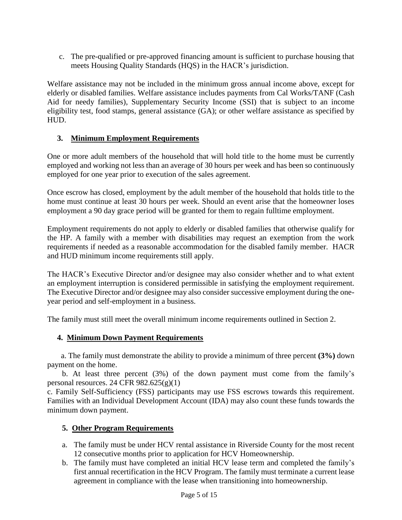c. The pre-qualified or pre-approved financing amount is sufficient to purchase housing that meets Housing Quality Standards (HQS) in the HACR's jurisdiction.

Welfare assistance may not be included in the minimum gross annual income above, except for elderly or disabled families. Welfare assistance includes payments from Cal Works/TANF (Cash Aid for needy families), Supplementary Security Income (SSI) that is subject to an income eligibility test, food stamps, general assistance (GA); or other welfare assistance as specified by HUD.

## **3. Minimum Employment Requirements**

One or more adult members of the household that will hold title to the home must be currently employed and working not less than an average of 30 hours per week and has been so continuously employed for one year prior to execution of the sales agreement.

Once escrow has closed, employment by the adult member of the household that holds title to the home must continue at least 30 hours per week. Should an event arise that the homeowner loses employment a 90 day grace period will be granted for them to regain fulltime employment.

Employment requirements do not apply to elderly or disabled families that otherwise qualify for the HP. A family with a member with disabilities may request an exemption from the work requirements if needed as a reasonable accommodation for the disabled family member. HACR and HUD minimum income requirements still apply.

The HACR's Executive Director and/or designee may also consider whether and to what extent an employment interruption is considered permissible in satisfying the employment requirement. The Executive Director and/or designee may also consider successive employment during the oneyear period and self-employment in a business.

The family must still meet the overall minimum income requirements outlined in Section 2.

#### **4. Minimum Down Payment Requirements**

 a. The family must demonstrate the ability to provide a minimum of three percent **(3%)** down payment on the home.

b. At least three percent (3%) of the down payment must come from the family's personal resources. 24 CFR  $982.625(g)(1)$ 

c. Family Self-Sufficiency (FSS) participants may use FSS escrows towards this requirement. Families with an Individual Development Account (IDA) may also count these funds towards the minimum down payment.

#### **5. Other Program Requirements**

- a. The family must be under HCV rental assistance in Riverside County for the most recent 12 consecutive months prior to application for HCV Homeownership.
- b. The family must have completed an initial HCV lease term and completed the family's first annual recertification in the HCV Program. The family must terminate a current lease agreement in compliance with the lease when transitioning into homeownership.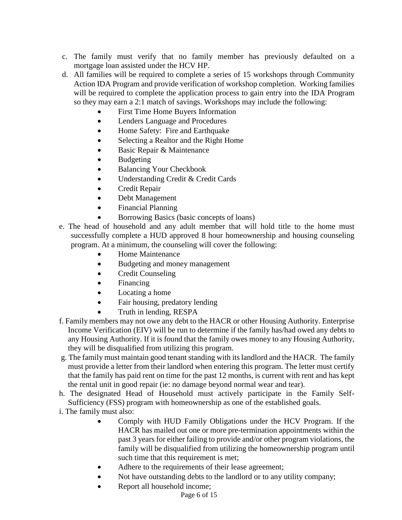- c. The family must verify that no family member has previously defaulted on a mortgage loan assisted under the HCV HP.
- d. All families will be required to complete a series of 15 workshops through Community Action IDA Program and provide verification of workshop completion. Working families will be required to complete the application process to gain entry into the IDA Program so they may earn a 2:1 match of savings. Workshops may include the following:
	- First Time Home Buyers Information
	- Lenders Language and Procedures
	- Home Safety: Fire and Earthquake
	- Selecting a Realtor and the Right Home
	- Basic Repair & Maintenance
	- Budgeting
	- Balancing Your Checkbook
	- Understanding Credit & Credit Cards
	- Credit Repair
	- Debt Management
	- Financial Planning
	- Borrowing Basics (basic concepts of loans)
- e. The head of household and any adult member that will hold title to the home must successfully complete a HUD approved 8 hour homeownership and housing counseling program. At a minimum, the counseling will cover the following:
	- Home Maintenance
	- Budgeting and money management
	- Credit Counseling
	- Financing
	- Locating a home
	- Fair housing, predatory lending
	- Truth in lending, RESPA
- f. Family members may not owe any debt to the HACR or other Housing Authority. Enterprise Income Verification (EIV) will be run to determine if the family has/had owed any debts to any Housing Authority. If it is found that the family owes money to any Housing Authority, they will be disqualified from utilizing this program.
- g. The family must maintain good tenant standing with its landlord and the HACR. The family must provide a letter from their landlord when entering this program. The letter must certify that the family has paid rent on time for the past 12 months, is current with rent and has kept the rental unit in good repair (ie: no damage beyond normal wear and tear).
- h. The designated Head of Household must actively participate in the Family Self-Sufficiency (FSS) program with homeownership as one of the established goals.
- i. The family must also:
	- Comply with HUD Family Obligations under the HCV Program. If the HACR has mailed out one or more pre-termination appointments within the past 3 years for either failing to provide and/or other program violations, the family will be disqualified from utilizing the homeownership program until such time that this requirement is met;
	- Adhere to the requirements of their lease agreement;
	- Not have outstanding debts to the landlord or to any utility company;
	- Report all household income;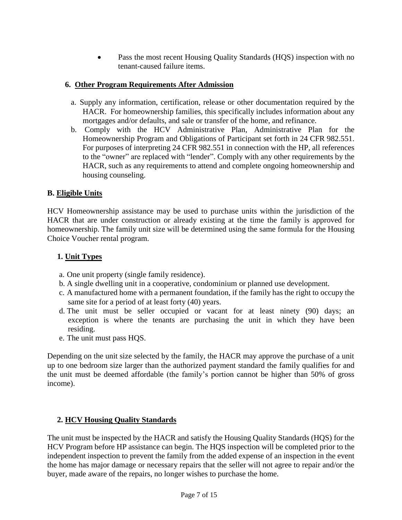Pass the most recent Housing Quality Standards (HQS) inspection with no tenant-caused failure items.

## **6. Other Program Requirements After Admission**

- a. Supply any information, certification, release or other documentation required by the HACR. For homeownership families, this specifically includes information about any mortgages and/or defaults, and sale or transfer of the home, and refinance.
- b. Comply with the HCV Administrative Plan, Administrative Plan for the Homeownership Program and Obligations of Participant set forth in 24 CFR 982.551. For purposes of interpreting 24 CFR 982.551 in connection with the HP, all references to the "owner" are replaced with "lender". Comply with any other requirements by the HACR, such as any requirements to attend and complete ongoing homeownership and housing counseling.

## **B. Eligible Units**

HCV Homeownership assistance may be used to purchase units within the jurisdiction of the HACR that are under construction or already existing at the time the family is approved for homeownership. The family unit size will be determined using the same formula for the Housing Choice Voucher rental program.

## **1. Unit Types**

- a. One unit property (single family residence).
- b. A single dwelling unit in a cooperative, condominium or planned use development.
- c. A manufactured home with a permanent foundation, if the family has the right to occupy the same site for a period of at least forty (40) years.
- d. The unit must be seller occupied or vacant for at least ninety (90) days; an exception is where the tenants are purchasing the unit in which they have been residing.
- e. The unit must pass HQS.

Depending on the unit size selected by the family, the HACR may approve the purchase of a unit up to one bedroom size larger than the authorized payment standard the family qualifies for and the unit must be deemed affordable (the family's portion cannot be higher than 50% of gross income).

## **2. HCV Housing Quality Standards**

The unit must be inspected by the HACR and satisfy the Housing Quality Standards (HQS) for the HCV Program before HP assistance can begin. The HQS inspection will be completed prior to the independent inspection to prevent the family from the added expense of an inspection in the event the home has major damage or necessary repairs that the seller will not agree to repair and/or the buyer, made aware of the repairs, no longer wishes to purchase the home.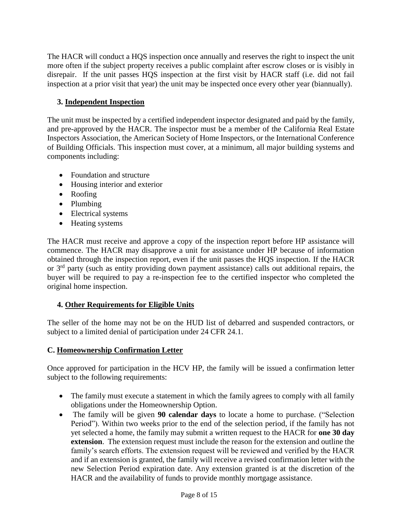The HACR will conduct a HQS inspection once annually and reserves the right to inspect the unit more often if the subject property receives a public complaint after escrow closes or is visibly in disrepair. If the unit passes HQS inspection at the first visit by HACR staff (i.e. did not fail inspection at a prior visit that year) the unit may be inspected once every other year (biannually).

## **3. Independent Inspection**

The unit must be inspected by a certified independent inspector designated and paid by the family, and pre-approved by the HACR. The inspector must be a member of the California Real Estate Inspectors Association, the American Society of Home Inspectors, or the International Conference of Building Officials. This inspection must cover, at a minimum, all major building systems and components including:

- Foundation and structure
- Housing interior and exterior
- Roofing
- Plumbing
- Electrical systems
- Heating systems

The HACR must receive and approve a copy of the inspection report before HP assistance will commence. The HACR may disapprove a unit for assistance under HP because of information obtained through the inspection report, even if the unit passes the HQS inspection. If the HACR or  $3<sup>rd</sup>$  party (such as entity providing down payment assistance) calls out additional repairs, the buyer will be required to pay a re-inspection fee to the certified inspector who completed the original home inspection.

#### **4. Other Requirements for Eligible Units**

The seller of the home may not be on the HUD list of debarred and suspended contractors, or subject to a limited denial of participation under 24 CFR 24.1.

#### **C. Homeownership Confirmation Letter**

Once approved for participation in the HCV HP, the family will be issued a confirmation letter subject to the following requirements:

- The family must execute a statement in which the family agrees to comply with all family obligations under the Homeownership Option.
- The family will be given **90 calendar days** to locate a home to purchase. ("Selection Period"). Within two weeks prior to the end of the selection period, if the family has not yet selected a home, the family may submit a written request to the HACR for **one 30 day extension**. The extension request must include the reason for the extension and outline the family's search efforts. The extension request will be reviewed and verified by the HACR and if an extension is granted, the family will receive a revised confirmation letter with the new Selection Period expiration date. Any extension granted is at the discretion of the HACR and the availability of funds to provide monthly mortgage assistance.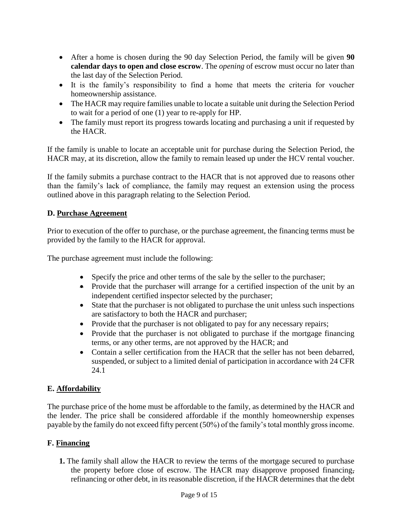- After a home is chosen during the 90 day Selection Period, the family will be given **90 calendar days to open and close escrow**. The *opening* of escrow must occur no later than the last day of the Selection Period.
- It is the family's responsibility to find a home that meets the criteria for voucher homeownership assistance.
- The HACR may require families unable to locate a suitable unit during the Selection Period to wait for a period of one (1) year to re-apply for HP.
- The family must report its progress towards locating and purchasing a unit if requested by the HACR.

If the family is unable to locate an acceptable unit for purchase during the Selection Period, the HACR may, at its discretion, allow the family to remain leased up under the HCV rental voucher.

If the family submits a purchase contract to the HACR that is not approved due to reasons other than the family's lack of compliance, the family may request an extension using the process outlined above in this paragraph relating to the Selection Period.

#### **D. Purchase Agreement**

Prior to execution of the offer to purchase, or the purchase agreement, the financing terms must be provided by the family to the HACR for approval.

The purchase agreement must include the following:

- Specify the price and other terms of the sale by the seller to the purchaser;
- Provide that the purchaser will arrange for a certified inspection of the unit by an independent certified inspector selected by the purchaser;
- State that the purchaser is not obligated to purchase the unit unless such inspections are satisfactory to both the HACR and purchaser;
- Provide that the purchaser is not obligated to pay for any necessary repairs;
- Provide that the purchaser is not obligated to purchase if the mortgage financing terms, or any other terms, are not approved by the HACR; and
- Contain a seller certification from the HACR that the seller has not been debarred, suspended, or subject to a limited denial of participation in accordance with 24 CFR 24.1

## **E. Affordability**

The purchase price of the home must be affordable to the family, as determined by the HACR and the lender. The price shall be considered affordable if the monthly homeownership expenses payable by the family do not exceed fifty percent (50%) of the family's total monthly gross income.

#### **F. Financing**

**1.** The family shall allow the HACR to review the terms of the mortgage secured to purchase the property before close of escrow. The HACR may disapprove proposed financing, refinancing or other debt, in its reasonable discretion, if the HACR determines that the debt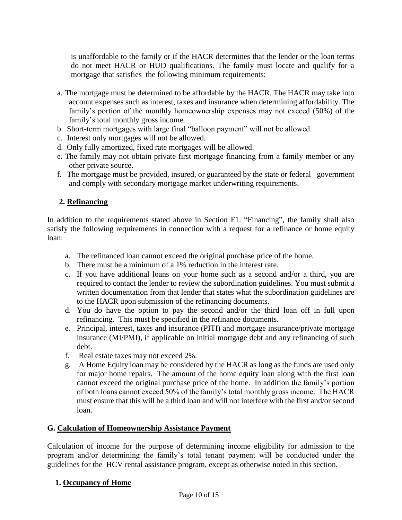is unaffordable to the family or if the HACR determines that the lender or the loan terms do not meet HACR or HUD qualifications. The family must locate and qualify for a mortgage that satisfies the following minimum requirements:

- a. The mortgage must be determined to be affordable by the HACR. The HACR may take into account expenses such as interest, taxes and insurance when determining affordability. The family's portion of the monthly homeownership expenses may not exceed (50%) of the family's total monthly gross income.
- b. Short-term mortgages with large final "balloon payment" will not be allowed.
- c. Interest only mortgages will not be allowed.
- d. Only fully amortized, fixed rate mortgages will be allowed.
- e. The family may not obtain private first mortgage financing from a family member or any other private source.
- f. The mortgage must be provided, insured, or guaranteed by the state or federal government and comply with secondary mortgage market underwriting requirements.

## **2. Refinancing**

In addition to the requirements stated above in Section F1. "Financing", the family shall also satisfy the following requirements in connection with a request for a refinance or home equity loan:

- a. The refinanced loan cannot exceed the original purchase price of the home.
- b. There must be a minimum of a 1% reduction in the interest rate.
- c. If you have additional loans on your home such as a second and/or a third, you are required to contact the lender to review the subordination guidelines. You must submit a written documentation from that lender that states what the subordination guidelines are to the HACR upon submission of the refinancing documents.
- d. You do have the option to pay the second and/or the third loan off in full upon refinancing. This must be specified in the refinance documents.
- e. Principal, interest, taxes and insurance (PITI) and mortgage insurance/private mortgage insurance (MI/PMI), if applicable on initial mortgage debt and any refinancing of such debt.
- f. Real estate taxes may not exceed 2%.
- g. A Home Equity loan may be considered by the HACR as long as the funds are used only for major home repairs. The amount of the home equity loan along with the first loan cannot exceed the original purchase price of the home. In addition the family's portion of both loans cannot exceed 50% of the family's total monthly gross income. The HACR must ensure that this will be a third loan and will not interfere with the first and/or second loan.

#### **G. Calculation of Homeownership Assistance Payment**

Calculation of income for the purpose of determining income eligibility for admission to the program and/or determining the family's total tenant payment will be conducted under the guidelines for the HCV rental assistance program, except as otherwise noted in this section.

#### **1. Occupancy of Home**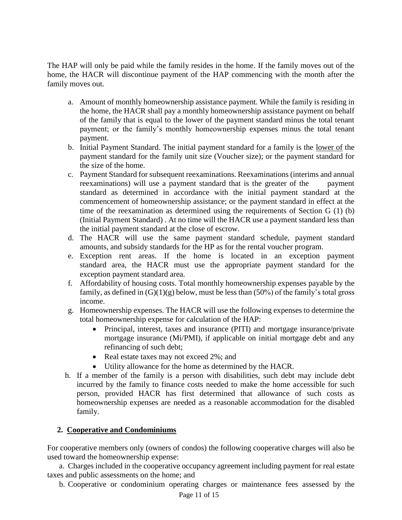The HAP will only be paid while the family resides in the home. If the family moves out of the home, the HACR will discontinue payment of the HAP commencing with the month after the family moves out.

- a. Amount of monthly homeownership assistance payment. While the family is residing in the home, the HACR shall pay a monthly homeownership assistance payment on behalf of the family that is equal to the lower of the payment standard minus the total tenant payment; or the family's monthly homeownership expenses minus the total tenant payment.
- b. Initial Payment Standard. The initial payment standard for a family is the lower of the payment standard for the family unit size (Voucher size); or the payment standard for the size of the home.
- c. Payment Standard for subsequent reexaminations. Reexaminations (interims and annual reexaminations) will use a payment standard that is the greater of the payment standard as determined in accordance with the initial payment standard at the commencement of homeownership assistance; or the payment standard in effect at the time of the reexamination as determined using the requirements of Section G (1) (b) (Initial Payment Standard) . At no time will the HACR use a payment standard less than the initial payment standard at the close of escrow.
- d. The HACR will use the same payment standard schedule, payment standard amounts, and subsidy standards for the HP as for the rental voucher program.
- e. Exception rent areas. If the home is located in an exception payment standard area, the HACR must use the appropriate payment standard for the exception payment standard area.
- f. Affordability of housing costs. Total monthly homeownership expenses payable by the family, as defined in  $(G)(1)(g)$  below, must be less than  $(50\%)$  of the family's total gross income.
- g. Homeownership expenses. The HACR will use the following expenses to determine the total homeownership expense for calculation of the HAP:
	- Principal, interest, taxes and insurance (PITI) and mortgage insurance/private mortgage insurance (Mi/PMI), if applicable on initial mortgage debt and any refinancing of such debt;
	- Real estate taxes may not exceed 2%; and
	- Utility allowance for the home as determined by the HACR.
- h. If a member of the family is a person with disabilities, such debt may include debt incurred by the family to finance costs needed to make the home accessible for such person, provided HACR has first determined that allowance of such costs as homeownership expenses are needed as a reasonable accommodation for the disabled family.

## **2. Cooperative and Condominiums**

For cooperative members only (owners of condos) the following cooperative charges will also be used toward the homeownership expense:

 a. Charges included in the cooperative occupancy agreement including payment for real estate taxes and public assessments on the home; and

b. Cooperative or condominium operating charges or maintenance fees assessed by the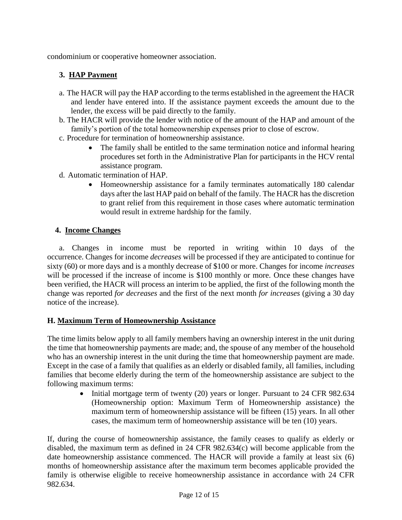condominium or cooperative homeowner association.

## **3. HAP Payment**

- a. The HACR will pay the HAP according to the terms established in the agreement the HACR and lender have entered into. If the assistance payment exceeds the amount due to the lender, the excess will be paid directly to the family.
- b. The HACR will provide the lender with notice of the amount of the HAP and amount of the family's portion of the total homeownership expenses prior to close of escrow.
- c. Procedure for termination of homeownership assistance.
	- The family shall be entitled to the same termination notice and informal hearing procedures set forth in the Administrative Plan for participants in the HCV rental assistance program.
- d. Automatic termination of HAP.
	- Homeownership assistance for a family terminates automatically 180 calendar days after the last HAP paid on behalf of the family. The HACR has the discretion to grant relief from this requirement in those cases where automatic termination would result in extreme hardship for the family.

#### **4. Income Changes**

 a. Changes in income must be reported in writing within 10 days of the occurrence. Changes for income *decreases* will be processed if they are anticipated to continue for sixty (60) or more days and is a monthly decrease of \$100 or more. Changes for income *increases* will be processed if the increase of income is \$100 monthly or more. Once these changes have been verified, the HACR will process an interim to be applied, the first of the following month the change was reported *for decreases* and the first of the next month *for increases* (giving a 30 day notice of the increase).

#### **H. Maximum Term of Homeownership Assistance**

The time limits below apply to all family members having an ownership interest in the unit during the time that homeownership payments are made; and, the spouse of any member of the household who has an ownership interest in the unit during the time that homeownership payment are made. Except in the case of a family that qualifies as an elderly or disabled family, all families, including families that become elderly during the term of the homeownership assistance are subject to the following maximum terms:

> Initial mortgage term of twenty (20) years or longer. Pursuant to 24 CFR 982.634 (Homeownership option: Maximum Term of Homeownership assistance) the maximum term of homeownership assistance will be fifteen (15) years. In all other cases, the maximum term of homeownership assistance will be ten (10) years.

If, during the course of homeownership assistance, the family ceases to qualify as elderly or disabled, the maximum term as defined in 24 CFR 982.634(c) will become applicable from the date homeownership assistance commenced. The HACR will provide a family at least six (6) months of homeownership assistance after the maximum term becomes applicable provided the family is otherwise eligible to receive homeownership assistance in accordance with 24 CFR 982.634.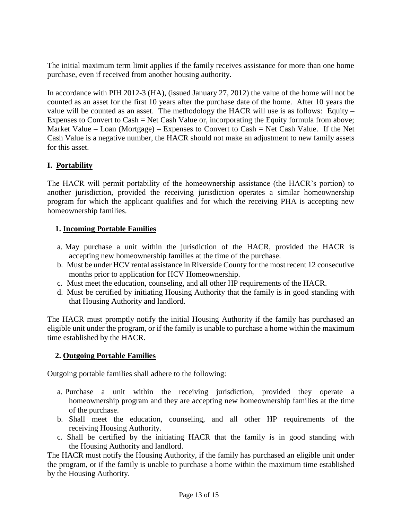The initial maximum term limit applies if the family receives assistance for more than one home purchase, even if received from another housing authority.

In accordance with PIH 2012-3 (HA), (issued January 27, 2012) the value of the home will not be counted as an asset for the first 10 years after the purchase date of the home. After 10 years the value will be counted as an asset. The methodology the HACR will use is as follows: Equity – Expenses to Convert to Cash = Net Cash Value or, incorporating the Equity formula from above; Market Value – Loan (Mortgage) – Expenses to Convert to Cash = Net Cash Value. If the Net Cash Value is a negative number, the HACR should not make an adjustment to new family assets for this asset.

## **I. Portability**

The HACR will permit portability of the homeownership assistance (the HACR's portion) to another jurisdiction, provided the receiving jurisdiction operates a similar homeownership program for which the applicant qualifies and for which the receiving PHA is accepting new homeownership families.

## **1. Incoming Portable Families**

- a. May purchase a unit within the jurisdiction of the HACR, provided the HACR is accepting new homeownership families at the time of the purchase.
- b. Must be under HCV rental assistance in Riverside County for the most recent 12 consecutive months prior to application for HCV Homeownership.
- c. Must meet the education, counseling, and all other HP requirements of the HACR.
- d. Must be certified by initiating Housing Authority that the family is in good standing with that Housing Authority and landlord.

The HACR must promptly notify the initial Housing Authority if the family has purchased an eligible unit under the program, or if the family is unable to purchase a home within the maximum time established by the HACR.

## **2. Outgoing Portable Families**

Outgoing portable families shall adhere to the following:

- a. Purchase a unit within the receiving jurisdiction, provided they operate a homeownership program and they are accepting new homeownership families at the time of the purchase.
- b. Shall meet the education, counseling, and all other HP requirements of the receiving Housing Authority.
- c. Shall be certified by the initiating HACR that the family is in good standing with the Housing Authority and landlord.

The HACR must notify the Housing Authority, if the family has purchased an eligible unit under the program, or if the family is unable to purchase a home within the maximum time established by the Housing Authority.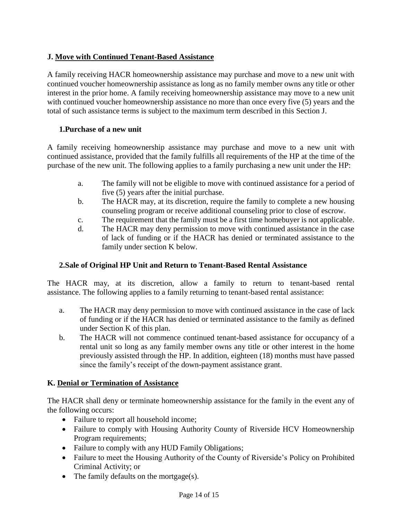## **J. Move with Continued Tenant-Based Assistance**

A family receiving HACR homeownership assistance may purchase and move to a new unit with continued voucher homeownership assistance as long as no family member owns any title or other interest in the prior home. A family receiving homeownership assistance may move to a new unit with continued voucher homeownership assistance no more than once every five (5) years and the total of such assistance terms is subject to the maximum term described in this Section J.

## **1.Purchase of a new unit**

A family receiving homeownership assistance may purchase and move to a new unit with continued assistance, provided that the family fulfills all requirements of the HP at the time of the purchase of the new unit. The following applies to a family purchasing a new unit under the HP:

- a. The family will not be eligible to move with continued assistance for a period of five (5) years after the initial purchase.
- b. The HACR may, at its discretion, require the family to complete a new housing counseling program or receive additional counseling prior to close of escrow.
- c. The requirement that the family must be a first time homebuyer is not applicable.
- d. The HACR may deny permission to move with continued assistance in the case of lack of funding or if the HACR has denied or terminated assistance to the family under section K below.

## **2.Sale of Original HP Unit and Return to Tenant-Based Rental Assistance**

The HACR may, at its discretion, allow a family to return to tenant-based rental assistance. The following applies to a family returning to tenant-based rental assistance:

- a. The HACR may deny permission to move with continued assistance in the case of lack of funding or if the HACR has denied or terminated assistance to the family as defined under Section K of this plan.
- b. The HACR will not commence continued tenant-based assistance for occupancy of a rental unit so long as any family member owns any title or other interest in the home previously assisted through the HP. In addition, eighteen (18) months must have passed since the family's receipt of the down-payment assistance grant.

#### **K. Denial or Termination of Assistance**

The HACR shall deny or terminate homeownership assistance for the family in the event any of the following occurs:

- Failure to report all household income;
- Failure to comply with Housing Authority County of Riverside HCV Homeownership Program requirements;
- Failure to comply with any HUD Family Obligations;
- Failure to meet the Housing Authority of the County of Riverside's Policy on Prohibited Criminal Activity; or
- The family defaults on the mortgage(s).